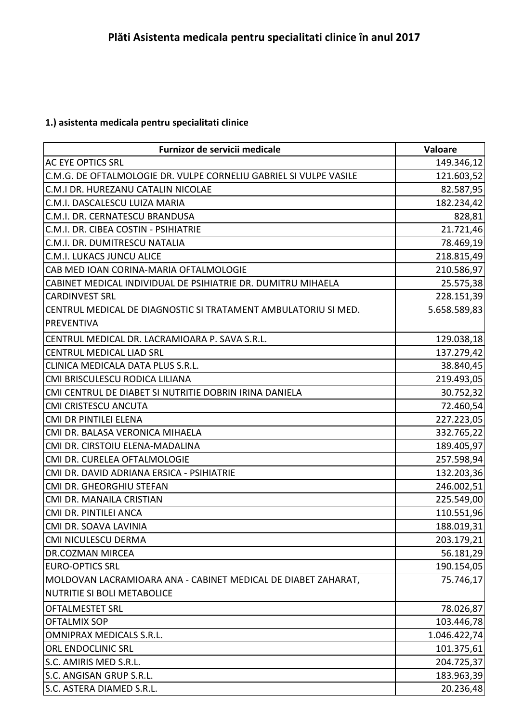## **1.) asistenta medicala pentru specialitati clinice**

| Furnizor de servicii medicale                                     | Valoare      |
|-------------------------------------------------------------------|--------------|
| <b>AC EYE OPTICS SRL</b>                                          | 149.346,12   |
| C.M.G. DE OFTALMOLOGIE DR. VULPE CORNELIU GABRIEL SI VULPE VASILE | 121.603,52   |
| C.M.I DR. HUREZANU CATALIN NICOLAE                                | 82.587,95    |
| C.M.I. DASCALESCU LUIZA MARIA                                     | 182.234,42   |
| C.M.I. DR. CERNATESCU BRANDUSA                                    | 828,81       |
| C.M.I. DR. CIBEA COSTIN - PSIHIATRIE                              | 21.721,46    |
| C.M.I. DR. DUMITRESCU NATALIA                                     | 78.469,19    |
| C.M.I. LUKACS JUNCU ALICE                                         | 218.815,49   |
| CAB MED IOAN CORINA-MARIA OFTALMOLOGIE                            | 210.586,97   |
| CABINET MEDICAL INDIVIDUAL DE PSIHIATRIE DR. DUMITRU MIHAELA      | 25.575,38    |
| <b>CARDINVEST SRL</b>                                             | 228.151,39   |
| CENTRUL MEDICAL DE DIAGNOSTIC SI TRATAMENT AMBULATORIU SI MED.    | 5.658.589,83 |
| <b>PREVENTIVA</b>                                                 |              |
| CENTRUL MEDICAL DR. LACRAMIOARA P. SAVA S.R.L.                    | 129.038,18   |
| <b>CENTRUL MEDICAL LIAD SRL</b>                                   | 137.279,42   |
| CLINICA MEDICALA DATA PLUS S.R.L.                                 | 38.840,45    |
| CMI BRISCULESCU RODICA LILIANA                                    | 219.493,05   |
| CMI CENTRUL DE DIABET SI NUTRITIE DOBRIN IRINA DANIELA            | 30.752,32    |
| <b>CMI CRISTESCU ANCUTA</b>                                       | 72.460,54    |
| <b>CMI DR PINTILEI ELENA</b>                                      | 227.223,05   |
| CMI DR. BALASA VERONICA MIHAELA                                   | 332.765,22   |
| CMI DR. CIRSTOIU ELENA-MADALINA                                   | 189.405,97   |
| CMI DR. CURELEA OFTALMOLOGIE                                      | 257.598,94   |
| CMI DR. DAVID ADRIANA ERSICA - PSIHIATRIE                         | 132.203,36   |
| CMI DR. GHEORGHIU STEFAN                                          | 246.002,51   |
| CMI DR. MANAILA CRISTIAN                                          | 225.549,00   |
| CMI DR. PINTILEI ANCA                                             | 110.551,96   |
| CMI DR. SOAVA LAVINIA                                             | 188.019,31   |
| <b>CMI NICULESCU DERMA</b>                                        | 203.179,21   |
| <b>DR.COZMAN MIRCEA</b>                                           | 56.181,29    |
| <b>EURO-OPTICS SRL</b>                                            | 190.154,05   |
| MOLDOVAN LACRAMIOARA ANA - CABINET MEDICAL DE DIABET ZAHARAT,     | 75.746,17    |
| <b>NUTRITIE SI BOLI METABOLICE</b>                                |              |
| <b>OFTALMESTET SRL</b>                                            | 78.026,87    |
| <b>OFTALMIX SOP</b>                                               | 103.446,78   |
| <b>OMNIPRAX MEDICALS S.R.L.</b>                                   | 1.046.422,74 |
| ORL ENDOCLINIC SRL                                                | 101.375,61   |
| S.C. AMIRIS MED S.R.L.                                            | 204.725,37   |
| S.C. ANGISAN GRUP S.R.L.                                          | 183.963,39   |
| S.C. ASTERA DIAMED S.R.L.                                         | 20.236,48    |